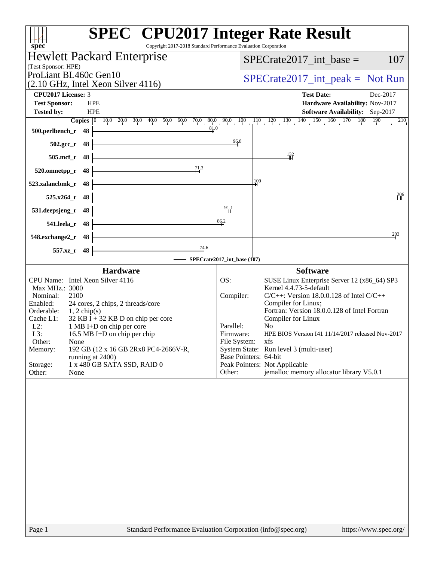| spec <sup>®</sup>                                                                         | <b>SPEC<sup>®</sup></b> CPU2017 Integer Rate Result<br>Copyright 2017-2018 Standard Performance Evaluation Corporation                                                 |
|-------------------------------------------------------------------------------------------|------------------------------------------------------------------------------------------------------------------------------------------------------------------------|
| <b>Hewlett Packard Enterprise</b>                                                         | $SPECrate2017\_int\_base =$<br>107                                                                                                                                     |
| (Test Sponsor: HPE)                                                                       |                                                                                                                                                                        |
| ProLiant BL460c Gen10<br>$(2.10 \text{ GHz}, \text{Intel Xeon Silver } 4116)$             | $SPECrate2017\_int\_peak = Not Run$                                                                                                                                    |
| CPU2017 License: 3                                                                        | <b>Test Date:</b><br>Dec-2017                                                                                                                                          |
| <b>Test Sponsor:</b><br><b>HPE</b>                                                        | Hardware Availability: Nov-2017                                                                                                                                        |
| <b>Tested by:</b><br><b>HPE</b>                                                           | Software Availability: Sep-2017                                                                                                                                        |
| 81.0<br>500.perlbench_r 48                                                                | <b>Copies</b> $\begin{bmatrix} 0 & 10 & 0 & 20 & 0 & 30 & 40 & 50 & 60 & 70 & 80 & 90 & 100 & 110 & 120 & 130 & 140 & 150 & 160 & 170 & 180 & 190 & 210 \end{bmatrix}$ |
| $502.\text{gcc}_r$ 48                                                                     | 96.8                                                                                                                                                                   |
| 505.mcf_r 48                                                                              | $\frac{132}{11}$                                                                                                                                                       |
| 71.3<br>$520.0$ mnetpp_r 48                                                               |                                                                                                                                                                        |
| 48<br>523.xalancbmk_r                                                                     | 109                                                                                                                                                                    |
| $525.x264_r$ 48                                                                           | 206                                                                                                                                                                    |
| 531.deepsjeng_r<br>- 48                                                                   | 91.1                                                                                                                                                                   |
| 541.leela_r 48                                                                            | 86.2                                                                                                                                                                   |
| 548.exchange2_r 48                                                                        | 203                                                                                                                                                                    |
| $\frac{74.6}{4}$<br>557.xz_r 48                                                           |                                                                                                                                                                        |
|                                                                                           | - SPECrate2017_int_base (107)                                                                                                                                          |
| <b>Hardware</b>                                                                           | <b>Software</b>                                                                                                                                                        |
| CPU Name: Intel Xeon Silver 4116<br>Max MHz.: 3000                                        | SUSE Linux Enterprise Server 12 (x86_64) SP3<br>OS:<br>Kernel 4.4.73-5-default                                                                                         |
| Nominal:<br>2100                                                                          | Compiler:<br>$C/C++$ : Version 18.0.0.128 of Intel $C/C++$                                                                                                             |
| Enabled:<br>24 cores, 2 chips, 2 threads/core                                             | Compiler for Linux;<br>Fortran: Version 18.0.0.128 of Intel Fortran                                                                                                    |
| Orderable:<br>$1, 2$ chip(s)<br>$32$ KB I + 32 KB D on chip per core<br>Cache L1:         | Compiler for Linux                                                                                                                                                     |
| $L2$ :<br>1 MB I+D on chip per core                                                       | Parallel:<br>N <sub>o</sub>                                                                                                                                            |
| L3:<br>16.5 MB I+D on chip per chip                                                       | HPE BIOS Version I41 11/14/2017 released Nov-2017<br>Firmware:                                                                                                         |
| Other:<br>None<br>192 GB (12 x 16 GB 2Rx8 PC4-2666V-R,                                    | File System: xfs<br>System State: Run level 3 (multi-user)                                                                                                             |
| Memory:<br>running at 2400)                                                               | Base Pointers: 64-bit                                                                                                                                                  |
| 1 x 480 GB SATA SSD, RAID 0<br>Storage:                                                   | Peak Pointers: Not Applicable                                                                                                                                          |
| Other:<br>None                                                                            | jemalloc memory allocator library V5.0.1<br>Other:                                                                                                                     |
|                                                                                           |                                                                                                                                                                        |
| $D_{\alpha\alpha\alpha}$ 1<br>Standard Derformance Evaluation Corporation (info@gnee.org) | http://www.00000                                                                                                                                                       |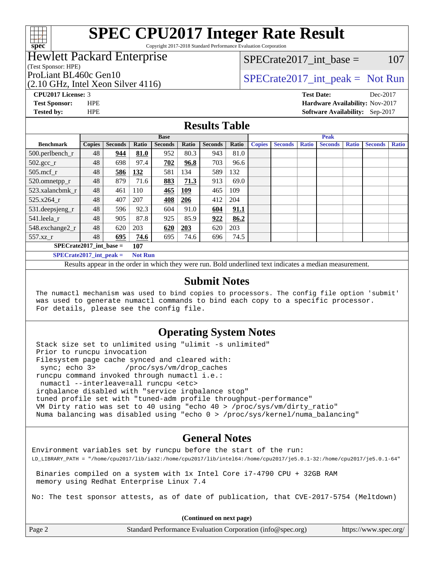

Copyright 2017-2018 Standard Performance Evaluation Corporation

## Hewlett Packard Enterprise

(Test Sponsor: HPE)

(2.10 GHz, Intel Xeon Silver 4116)

 $SPECTate2017\_int\_base = 107$ 

# ProLiant BL460c Gen10  $SPECTA = 1116$   $SPECTA = 2017$  int peak = Not Run

**[CPU2017 License:](http://www.spec.org/auto/cpu2017/Docs/result-fields.html#CPU2017License)** 3 **[Test Date:](http://www.spec.org/auto/cpu2017/Docs/result-fields.html#TestDate)** Dec-2017 **[Test Sponsor:](http://www.spec.org/auto/cpu2017/Docs/result-fields.html#TestSponsor)** HPE **[Hardware Availability:](http://www.spec.org/auto/cpu2017/Docs/result-fields.html#HardwareAvailability)** Nov-2017 **[Tested by:](http://www.spec.org/auto/cpu2017/Docs/result-fields.html#Testedby)** HPE **[Software Availability:](http://www.spec.org/auto/cpu2017/Docs/result-fields.html#SoftwareAvailability)** Sep-2017

## **[Results Table](http://www.spec.org/auto/cpu2017/Docs/result-fields.html#ResultsTable)**

| <b>Base</b>                                   |               |                |       | <b>Peak</b>    |            |                |       |               |                |              |                |              |                |              |
|-----------------------------------------------|---------------|----------------|-------|----------------|------------|----------------|-------|---------------|----------------|--------------|----------------|--------------|----------------|--------------|
| <b>Benchmark</b>                              | <b>Copies</b> | <b>Seconds</b> | Ratio | <b>Seconds</b> | Ratio      | <b>Seconds</b> | Ratio | <b>Copies</b> | <b>Seconds</b> | <b>Ratio</b> | <b>Seconds</b> | <b>Ratio</b> | <b>Seconds</b> | <b>Ratio</b> |
| $500.$ perlbench_r                            | 48            | 944            | 81.0  | 952            | 80.3       | 943            | 81.0  |               |                |              |                |              |                |              |
| $502.\text{sec}\text{\_r}$                    | 48            | 698            | 97.4  | 702            | 96.8       | 703            | 96.6  |               |                |              |                |              |                |              |
| $505$ .mcf r                                  | 48            | 586            | 132   | 581            | 134        | 589            | 132   |               |                |              |                |              |                |              |
| 520.omnetpp_r                                 | 48            | 879            | 71.6  | 883            | 71.3       | 913            | 69.0  |               |                |              |                |              |                |              |
| 523.xalancbmk r                               | 48            | 461            | 110   | 465            | <b>109</b> | 465            | 109   |               |                |              |                |              |                |              |
| 525.x264 r                                    | 48            | 407            | 207   | 408            | 206        | 412            | 204   |               |                |              |                |              |                |              |
| 531.deepsjeng_r                               | 48            | 596            | 92.3  | 604            | 91.0       | 604            | 91.1  |               |                |              |                |              |                |              |
| 541.leela r                                   | 48            | 905            | 87.8  | 925            | 85.9       | 922            | 86.2  |               |                |              |                |              |                |              |
| 548.exchange2_r                               | 48            | 620            | 203   | 620            | 203        | 620            | 203   |               |                |              |                |              |                |              |
| 557.xz r                                      | 48            | 695            | 74.6  | 695            | 74.6       | 696            | 74.5  |               |                |              |                |              |                |              |
| $SPECrate2017$ int base =<br>107              |               |                |       |                |            |                |       |               |                |              |                |              |                |              |
| $SPECrate2017\_int\_peak =$<br><b>Not Run</b> |               |                |       |                |            |                |       |               |                |              |                |              |                |              |

Results appear in the [order in which they were run.](http://www.spec.org/auto/cpu2017/Docs/result-fields.html#RunOrder) Bold underlined text [indicates a median measurement.](http://www.spec.org/auto/cpu2017/Docs/result-fields.html#Median)

#### **[Submit Notes](http://www.spec.org/auto/cpu2017/Docs/result-fields.html#SubmitNotes)**

 The numactl mechanism was used to bind copies to processors. The config file option 'submit' was used to generate numactl commands to bind each copy to a specific processor. For details, please see the config file.

## **[Operating System Notes](http://www.spec.org/auto/cpu2017/Docs/result-fields.html#OperatingSystemNotes)**

 Stack size set to unlimited using "ulimit -s unlimited" Prior to runcpu invocation Filesystem page cache synced and cleared with: sync; echo 3> /proc/sys/vm/drop\_caches runcpu command invoked through numactl i.e.: numactl --interleave=all runcpu <etc> irqbalance disabled with "service irqbalance stop" tuned profile set with "tuned-adm profile throughput-performance" VM Dirty ratio was set to 40 using "echo 40 > /proc/sys/vm/dirty\_ratio" Numa balancing was disabled using "echo 0 > /proc/sys/kernel/numa\_balancing"

## **[General Notes](http://www.spec.org/auto/cpu2017/Docs/result-fields.html#GeneralNotes)**

Environment variables set by runcpu before the start of the run: LD\_LIBRARY\_PATH = "/home/cpu2017/lib/ia32:/home/cpu2017/lib/intel64:/home/cpu2017/je5.0.1-32:/home/cpu2017/je5.0.1-64"

 Binaries compiled on a system with 1x Intel Core i7-4790 CPU + 32GB RAM memory using Redhat Enterprise Linux 7.4

No: The test sponsor attests, as of date of publication, that CVE-2017-5754 (Meltdown)

**(Continued on next page)**

| Page 2<br>Standard Performance Evaluation Corporation (info@spec.org) | https://www.spec.org/ |
|-----------------------------------------------------------------------|-----------------------|
|-----------------------------------------------------------------------|-----------------------|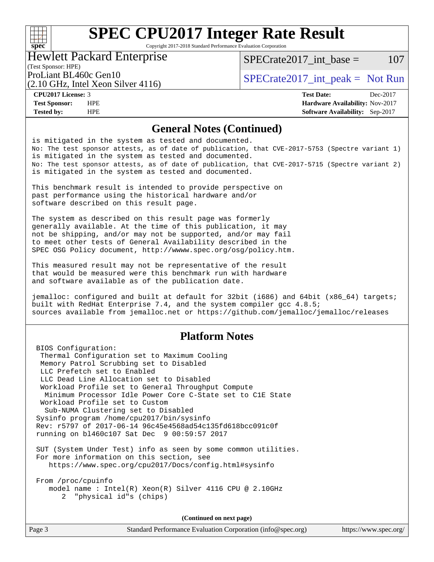## $+\!\!+\!\!$ **[spec](http://www.spec.org/)**

# **[SPEC CPU2017 Integer Rate Result](http://www.spec.org/auto/cpu2017/Docs/result-fields.html#SPECCPU2017IntegerRateResult)**

Copyright 2017-2018 Standard Performance Evaluation Corporation

#### Hewlett Packard Enterprise

(2.10 GHz, Intel Xeon Silver 4116)

 $SPECTate2017\_int\_base = 107$ 

(Test Sponsor: HPE)

ProLiant BL460c Gen10  $SPECTA 1116$   $SPECTA 2017$  int peak = Not Run

**[Tested by:](http://www.spec.org/auto/cpu2017/Docs/result-fields.html#Testedby)** HPE **[Software Availability:](http://www.spec.org/auto/cpu2017/Docs/result-fields.html#SoftwareAvailability)** Sep-2017

**[CPU2017 License:](http://www.spec.org/auto/cpu2017/Docs/result-fields.html#CPU2017License)** 3 **[Test Date:](http://www.spec.org/auto/cpu2017/Docs/result-fields.html#TestDate)** Dec-2017 **[Test Sponsor:](http://www.spec.org/auto/cpu2017/Docs/result-fields.html#TestSponsor)** HPE **[Hardware Availability:](http://www.spec.org/auto/cpu2017/Docs/result-fields.html#HardwareAvailability)** Nov-2017

### **[General Notes \(Continued\)](http://www.spec.org/auto/cpu2017/Docs/result-fields.html#GeneralNotes)**

is mitigated in the system as tested and documented. No: The test sponsor attests, as of date of publication, that CVE-2017-5753 (Spectre variant 1) is mitigated in the system as tested and documented. No: The test sponsor attests, as of date of publication, that CVE-2017-5715 (Spectre variant 2) is mitigated in the system as tested and documented.

This benchmark result is intended to provide perspective on past performance using the historical hardware and/or software described on this result page.

The system as described on this result page was formerly generally available. At the time of this publication, it may not be shipping, and/or may not be supported, and/or may fail to meet other tests of General Availability described in the SPEC OSG Policy document, <http://wwww.spec.org/osg/policy.htm.>

This measured result may not be representative of the result that would be measured were this benchmark run with hardware and software available as of the publication date.

jemalloc: configured and built at default for 32bit (i686) and 64bit (x86\_64) targets; built with RedHat Enterprise 7.4, and the system compiler gcc 4.8.5; sources available from jemalloc.net or <https://github.com/jemalloc/jemalloc/releases>

## **[Platform Notes](http://www.spec.org/auto/cpu2017/Docs/result-fields.html#PlatformNotes)**

 BIOS Configuration: Thermal Configuration set to Maximum Cooling Memory Patrol Scrubbing set to Disabled LLC Prefetch set to Enabled LLC Dead Line Allocation set to Disabled Workload Profile set to General Throughput Compute Minimum Processor Idle Power Core C-State set to C1E State Workload Profile set to Custom Sub-NUMA Clustering set to Disabled Sysinfo program /home/cpu2017/bin/sysinfo Rev: r5797 of 2017-06-14 96c45e4568ad54c135fd618bcc091c0f running on bl460c107 Sat Dec 9 00:59:57 2017 SUT (System Under Test) info as seen by some common utilities. For more information on this section, see <https://www.spec.org/cpu2017/Docs/config.html#sysinfo> From /proc/cpuinfo model name : Intel(R) Xeon(R) Silver 4116 CPU @ 2.10GHz

2 "physical id"s (chips)

**(Continued on next page)**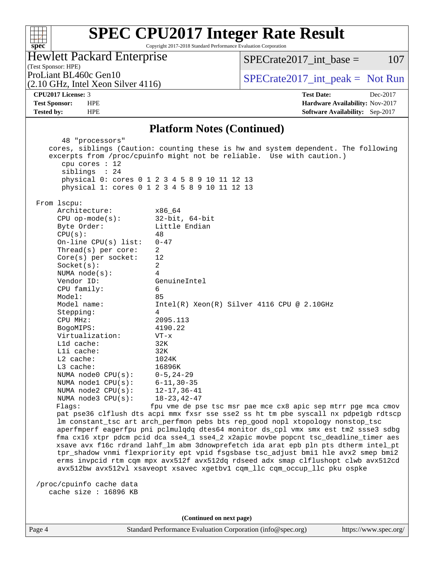## **[spec](http://www.spec.org/)**

# **[SPEC CPU2017 Integer Rate Result](http://www.spec.org/auto/cpu2017/Docs/result-fields.html#SPECCPU2017IntegerRateResult)**

Copyright 2017-2018 Standard Performance Evaluation Corporation

Hewlett Packard Enterprise

 $SPECTate2017\_int\_base = 107$ 

(Test Sponsor: HPE) (2.10 GHz, Intel Xeon Silver 4116)

ProLiant BL460c Gen10  $SPECTR 1116$   $SPECTR 2017_$ int\_peak = Not Run

**[CPU2017 License:](http://www.spec.org/auto/cpu2017/Docs/result-fields.html#CPU2017License)** 3 **[Test Date:](http://www.spec.org/auto/cpu2017/Docs/result-fields.html#TestDate)** Dec-2017 **[Test Sponsor:](http://www.spec.org/auto/cpu2017/Docs/result-fields.html#TestSponsor)** HPE **[Hardware Availability:](http://www.spec.org/auto/cpu2017/Docs/result-fields.html#HardwareAvailability)** Nov-2017 **[Tested by:](http://www.spec.org/auto/cpu2017/Docs/result-fields.html#Testedby)** HPE **[Software Availability:](http://www.spec.org/auto/cpu2017/Docs/result-fields.html#SoftwareAvailability)** Sep-2017

### **[Platform Notes \(Continued\)](http://www.spec.org/auto/cpu2017/Docs/result-fields.html#PlatformNotes)**

| 48 "processors"<br>cpu cores $: 12$<br>siblings : 24                                                                                                                       | cores, siblings (Caution: counting these is hw and system dependent. The following<br>excerpts from /proc/cpuinfo might not be reliable. Use with caution.)<br>physical 0: cores 0 1 2 3 4 5 8 9 10 11 12 13<br>physical 1: cores 0 1 2 3 4 5 8 9 10 11 12 13 |  |  |  |  |
|----------------------------------------------------------------------------------------------------------------------------------------------------------------------------|---------------------------------------------------------------------------------------------------------------------------------------------------------------------------------------------------------------------------------------------------------------|--|--|--|--|
| From lscpu:                                                                                                                                                                |                                                                                                                                                                                                                                                               |  |  |  |  |
| Architecture:                                                                                                                                                              | x86 64                                                                                                                                                                                                                                                        |  |  |  |  |
| $CPU$ op-mode( $s$ ):                                                                                                                                                      | $32$ -bit, $64$ -bit                                                                                                                                                                                                                                          |  |  |  |  |
| Byte Order:                                                                                                                                                                | Little Endian                                                                                                                                                                                                                                                 |  |  |  |  |
| CPU(s):                                                                                                                                                                    | 48                                                                                                                                                                                                                                                            |  |  |  |  |
| On-line $CPU(s)$ list:                                                                                                                                                     | $0 - 47$                                                                                                                                                                                                                                                      |  |  |  |  |
| Thread( $s$ ) per core:                                                                                                                                                    | 2                                                                                                                                                                                                                                                             |  |  |  |  |
| Core(s) per socket:                                                                                                                                                        | 12                                                                                                                                                                                                                                                            |  |  |  |  |
| Socket(s):                                                                                                                                                                 | 2                                                                                                                                                                                                                                                             |  |  |  |  |
| NUMA $node(s):$<br>Vendor ID:                                                                                                                                              | 4<br>GenuineIntel                                                                                                                                                                                                                                             |  |  |  |  |
| CPU family:                                                                                                                                                                | 6                                                                                                                                                                                                                                                             |  |  |  |  |
| Model:                                                                                                                                                                     | 85                                                                                                                                                                                                                                                            |  |  |  |  |
| Model name:                                                                                                                                                                | $Intel(R) Xeon(R) Silver 4116 CPU @ 2.10GHz$                                                                                                                                                                                                                  |  |  |  |  |
| Stepping:                                                                                                                                                                  | 4                                                                                                                                                                                                                                                             |  |  |  |  |
| CPU MHz:                                                                                                                                                                   | 2095.113                                                                                                                                                                                                                                                      |  |  |  |  |
| BogoMIPS:                                                                                                                                                                  | 4190.22                                                                                                                                                                                                                                                       |  |  |  |  |
| Virtualization:                                                                                                                                                            | $VT - x$                                                                                                                                                                                                                                                      |  |  |  |  |
| L1d cache:                                                                                                                                                                 | 32K                                                                                                                                                                                                                                                           |  |  |  |  |
| Lli cache:                                                                                                                                                                 | 32K                                                                                                                                                                                                                                                           |  |  |  |  |
| $L2$ cache:                                                                                                                                                                | 1024K                                                                                                                                                                                                                                                         |  |  |  |  |
| L3 cache:                                                                                                                                                                  | 16896K                                                                                                                                                                                                                                                        |  |  |  |  |
| NUMA $node0$ $CPU(s)$ :                                                                                                                                                    | $0 - 5$ , 24-29                                                                                                                                                                                                                                               |  |  |  |  |
| NUMA $node1$ $CPU(s)$ :                                                                                                                                                    | $6 - 11, 30 - 35$                                                                                                                                                                                                                                             |  |  |  |  |
| NUMA $node2$ $CPU(s)$ :                                                                                                                                                    | $12 - 17, 36 - 41$                                                                                                                                                                                                                                            |  |  |  |  |
| NUMA $node3$ CPU $(s)$ :                                                                                                                                                   | $18 - 23, 42 - 47$                                                                                                                                                                                                                                            |  |  |  |  |
| fpu vme de pse tsc msr pae mce cx8 apic sep mtrr pge mca cmov<br>Flags:                                                                                                    |                                                                                                                                                                                                                                                               |  |  |  |  |
| pat pse36 clflush dts acpi mmx fxsr sse sse2 ss ht tm pbe syscall nx pdpelgb rdtscp                                                                                        |                                                                                                                                                                                                                                                               |  |  |  |  |
| lm constant_tsc art arch_perfmon pebs bts rep_good nopl xtopology nonstop_tsc                                                                                              |                                                                                                                                                                                                                                                               |  |  |  |  |
| aperfmperf eagerfpu pni pclmulqdq dtes64 monitor ds_cpl vmx smx est tm2 ssse3 sdbg<br>fma cx16 xtpr pdcm pcid dca sse4_1 sse4_2 x2apic movbe popcnt tsc_deadline_timer aes |                                                                                                                                                                                                                                                               |  |  |  |  |
| xsave avx f16c rdrand lahf_lm abm 3dnowprefetch ida arat epb pln pts dtherm intel_pt                                                                                       |                                                                                                                                                                                                                                                               |  |  |  |  |
| tpr_shadow vnmi flexpriority ept vpid fsgsbase tsc_adjust bmil hle avx2 smep bmi2                                                                                          |                                                                                                                                                                                                                                                               |  |  |  |  |
| erms invpcid rtm cqm mpx avx512f avx512dq rdseed adx smap clflushopt clwb avx512cd                                                                                         |                                                                                                                                                                                                                                                               |  |  |  |  |
|                                                                                                                                                                            | avx512bw avx512vl xsaveopt xsavec xgetbvl cqm_llc cqm_occup_llc pku ospke                                                                                                                                                                                     |  |  |  |  |
|                                                                                                                                                                            |                                                                                                                                                                                                                                                               |  |  |  |  |
| /proc/cpuinfo cache data                                                                                                                                                   |                                                                                                                                                                                                                                                               |  |  |  |  |
| cache size : 16896 KB                                                                                                                                                      |                                                                                                                                                                                                                                                               |  |  |  |  |
|                                                                                                                                                                            |                                                                                                                                                                                                                                                               |  |  |  |  |
|                                                                                                                                                                            |                                                                                                                                                                                                                                                               |  |  |  |  |

**(Continued on next page)**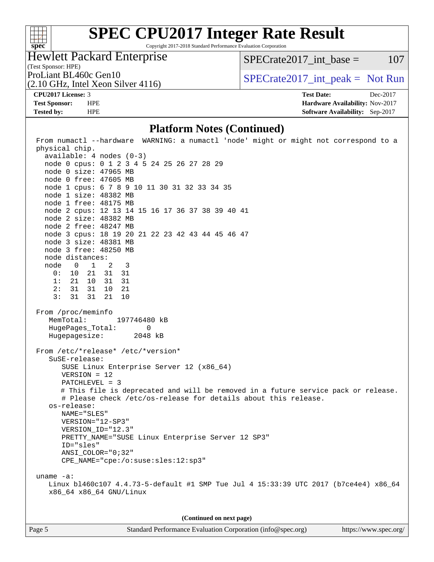

Copyright 2017-2018 Standard Performance Evaluation Corporation

## Hewlett Packard Enterprise

 $SPECTate2017\_int\_base = 107$ 

(Test Sponsor: HPE)

(2.10 GHz, Intel Xeon Silver 4116)

ProLiant BL460c Gen10  $SPECTR 1116$   $SPECTR 2017_$ int\_peak = Not Run

**[CPU2017 License:](http://www.spec.org/auto/cpu2017/Docs/result-fields.html#CPU2017License)** 3 **[Test Date:](http://www.spec.org/auto/cpu2017/Docs/result-fields.html#TestDate)** Dec-2017 **[Test Sponsor:](http://www.spec.org/auto/cpu2017/Docs/result-fields.html#TestSponsor)** HPE **[Hardware Availability:](http://www.spec.org/auto/cpu2017/Docs/result-fields.html#HardwareAvailability)** Nov-2017 **[Tested by:](http://www.spec.org/auto/cpu2017/Docs/result-fields.html#Testedby)** HPE **HPE [Software Availability:](http://www.spec.org/auto/cpu2017/Docs/result-fields.html#SoftwareAvailability)** Sep-2017

## **[Platform Notes \(Continued\)](http://www.spec.org/auto/cpu2017/Docs/result-fields.html#PlatformNotes)**

| From numactl --hardware WARNING: a numactl 'node' might or might not correspond to a |  |  |  |  |  |
|--------------------------------------------------------------------------------------|--|--|--|--|--|
| physical chip.<br>$available: 4 nodes (0-3)$                                         |  |  |  |  |  |
| node 0 cpus: 0 1 2 3 4 5 24 25 26 27 28 29                                           |  |  |  |  |  |
| node 0 size: 47965 MB                                                                |  |  |  |  |  |
| node 0 free: 47605 MB                                                                |  |  |  |  |  |
| node 1 cpus: 6 7 8 9 10 11 30 31 32 33 34 35                                         |  |  |  |  |  |
| node 1 size: 48382 MB                                                                |  |  |  |  |  |
| node 1 free: 48175 MB                                                                |  |  |  |  |  |
| node 2 cpus: 12 13 14 15 16 17 36 37 38 39 40 41                                     |  |  |  |  |  |
| node 2 size: 48382 MB                                                                |  |  |  |  |  |
| node 2 free: 48247 MB                                                                |  |  |  |  |  |
| node 3 cpus: 18 19 20 21 22 23 42 43 44 45 46 47                                     |  |  |  |  |  |
| node 3 size: 48381 MB                                                                |  |  |  |  |  |
| node 3 free: 48250 MB                                                                |  |  |  |  |  |
| node distances:                                                                      |  |  |  |  |  |
| node 0 1 2 3                                                                         |  |  |  |  |  |
| $0: 10$ $21$ $31$ $31$                                                               |  |  |  |  |  |
| 1: 21 10 31<br>31<br>2: 31 31 10 21                                                  |  |  |  |  |  |
| 3:<br>31 31 21 10                                                                    |  |  |  |  |  |
|                                                                                      |  |  |  |  |  |
| From /proc/meminfo                                                                   |  |  |  |  |  |
| MemTotal:<br>197746480 kB                                                            |  |  |  |  |  |
| HugePages_Total: 0                                                                   |  |  |  |  |  |
| Hugepagesize: 2048 kB                                                                |  |  |  |  |  |
| From /etc/*release* /etc/*version*                                                   |  |  |  |  |  |
| SuSE-release:                                                                        |  |  |  |  |  |
| SUSE Linux Enterprise Server 12 (x86_64)                                             |  |  |  |  |  |
| $VERSION = 12$                                                                       |  |  |  |  |  |
| PATCHLEVEL = 3                                                                       |  |  |  |  |  |
| # This file is deprecated and will be removed in a future service pack or release.   |  |  |  |  |  |
| # Please check /etc/os-release for details about this release.                       |  |  |  |  |  |
| os-release:                                                                          |  |  |  |  |  |
| NAME="SLES"                                                                          |  |  |  |  |  |
| VERSION="12-SP3"                                                                     |  |  |  |  |  |
| VERSION_ID="12.3"<br>PRETTY_NAME="SUSE Linux Enterprise Server 12 SP3"               |  |  |  |  |  |
| ID="sles"                                                                            |  |  |  |  |  |
| ANSI_COLOR="0;32"                                                                    |  |  |  |  |  |
| $CPE\_NAME='cpe://o:suse: sles:12:sp3"$                                              |  |  |  |  |  |
|                                                                                      |  |  |  |  |  |
| uname $-a$ :                                                                         |  |  |  |  |  |
| Linux bl460c107 4.4.73-5-default #1 SMP Tue Jul 4 15:33:39 UTC 2017 (b7ce4e4) x86_64 |  |  |  |  |  |
| x86_64 x86_64 GNU/Linux                                                              |  |  |  |  |  |
|                                                                                      |  |  |  |  |  |
|                                                                                      |  |  |  |  |  |
| (Continued on next page)                                                             |  |  |  |  |  |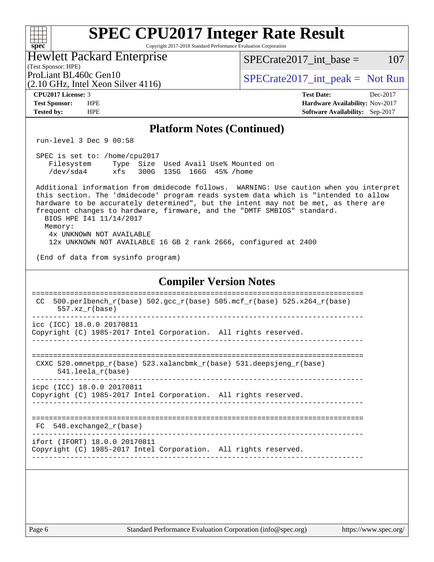| <b>SPEC CPU2017 Integer Rate Result</b><br>Copyright 2017-2018 Standard Performance Evaluation Corporation<br>$spec^*$                                                                                                                                                                                                                                                                                           |                                        |  |  |  |  |  |
|------------------------------------------------------------------------------------------------------------------------------------------------------------------------------------------------------------------------------------------------------------------------------------------------------------------------------------------------------------------------------------------------------------------|----------------------------------------|--|--|--|--|--|
| <b>Hewlett Packard Enterprise</b>                                                                                                                                                                                                                                                                                                                                                                                | 107<br>$SPECrate2017\_int\_base =$     |  |  |  |  |  |
| (Test Sponsor: HPE)<br>ProLiant BL460c Gen10<br>$(2.10 \text{ GHz}, \text{Intel Xeon Silver } 4116)$                                                                                                                                                                                                                                                                                                             | $SPECrate2017\_int\_peak = Not Run$    |  |  |  |  |  |
| <b>CPU2017 License: 3</b>                                                                                                                                                                                                                                                                                                                                                                                        | <b>Test Date:</b><br>Dec-2017          |  |  |  |  |  |
| <b>Test Sponsor:</b><br><b>HPE</b>                                                                                                                                                                                                                                                                                                                                                                               | Hardware Availability: Nov-2017        |  |  |  |  |  |
| <b>HPE</b><br><b>Tested by:</b>                                                                                                                                                                                                                                                                                                                                                                                  | <b>Software Availability:</b> Sep-2017 |  |  |  |  |  |
| <b>Platform Notes (Continued)</b>                                                                                                                                                                                                                                                                                                                                                                                |                                        |  |  |  |  |  |
| run-level 3 Dec 9 00:58                                                                                                                                                                                                                                                                                                                                                                                          |                                        |  |  |  |  |  |
| SPEC is set to: /home/cpu2017<br>Type Size Used Avail Use% Mounted on<br>Filesystem<br>/dev/sda4<br>300G 135G 166G 45% / home<br>xfs                                                                                                                                                                                                                                                                             |                                        |  |  |  |  |  |
| Additional information from dmidecode follows. WARNING: Use caution when you interpret<br>this section. The 'dmidecode' program reads system data which is "intended to allow<br>hardware to be accurately determined", but the intent may not be met, as there are<br>frequent changes to hardware, firmware, and the "DMTF SMBIOS" standard.<br>BIOS HPE 141 11/14/2017<br>Memory:<br>4x UNKNOWN NOT AVAILABLE |                                        |  |  |  |  |  |
| 12x UNKNOWN NOT AVAILABLE 16 GB 2 rank 2666, configured at 2400                                                                                                                                                                                                                                                                                                                                                  |                                        |  |  |  |  |  |
| (End of data from sysinfo program)                                                                                                                                                                                                                                                                                                                                                                               |                                        |  |  |  |  |  |
| <b>Compiler Version Notes</b>                                                                                                                                                                                                                                                                                                                                                                                    |                                        |  |  |  |  |  |
| 500.perlbench_r(base) 502.gcc_r(base) 505.mcf_r(base) 525.x264_r(base)<br>CC<br>$557.xx$ $r(base)$                                                                                                                                                                                                                                                                                                               |                                        |  |  |  |  |  |
| icc (ICC) 18.0.0 20170811<br>Copyright (C) 1985-2017 Intel Corporation. All rights reserved.                                                                                                                                                                                                                                                                                                                     |                                        |  |  |  |  |  |
| CXXC 520.omnetpp_r(base) 523.xalancbmk_r(base) 531.deepsjeng_r(base)<br>541.leela r(base)                                                                                                                                                                                                                                                                                                                        |                                        |  |  |  |  |  |
| icpc (ICC) 18.0.0 20170811<br>Copyright (C) 1985-2017 Intel Corporation. All rights reserved.                                                                                                                                                                                                                                                                                                                    |                                        |  |  |  |  |  |
| 548.exchange2_r(base)<br>FC.                                                                                                                                                                                                                                                                                                                                                                                     |                                        |  |  |  |  |  |
| ifort (IFORT) 18.0.0 20170811<br>Copyright (C) 1985-2017 Intel Corporation. All rights reserved.                                                                                                                                                                                                                                                                                                                 |                                        |  |  |  |  |  |
|                                                                                                                                                                                                                                                                                                                                                                                                                  |                                        |  |  |  |  |  |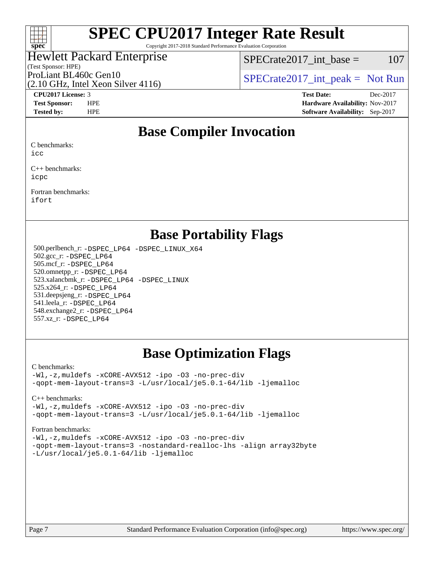

Copyright 2017-2018 Standard Performance Evaluation Corporation

## Hewlett Packard Enterprise

(Test Sponsor: HPE)

 $SPECTate2017\_int\_base = 107$ 

(2.10 GHz, Intel Xeon Silver 4116)

ProLiant BL460c Gen10  $SPECTA 1116$   $SPECTA 2017$  int peak = Not Run

**[CPU2017 License:](http://www.spec.org/auto/cpu2017/Docs/result-fields.html#CPU2017License)** 3 **[Test Date:](http://www.spec.org/auto/cpu2017/Docs/result-fields.html#TestDate)** Dec-2017 **[Test Sponsor:](http://www.spec.org/auto/cpu2017/Docs/result-fields.html#TestSponsor)** HPE **[Hardware Availability:](http://www.spec.org/auto/cpu2017/Docs/result-fields.html#HardwareAvailability)** Nov-2017 **[Tested by:](http://www.spec.org/auto/cpu2017/Docs/result-fields.html#Testedby)** HPE **[Software Availability:](http://www.spec.org/auto/cpu2017/Docs/result-fields.html#SoftwareAvailability)** Sep-2017

## **[Base Compiler Invocation](http://www.spec.org/auto/cpu2017/Docs/result-fields.html#BaseCompilerInvocation)**

[C benchmarks](http://www.spec.org/auto/cpu2017/Docs/result-fields.html#Cbenchmarks):

[icc](http://www.spec.org/cpu2017/results/res2018q2/cpu2017-20171226-02252.flags.html#user_CCbase_intel_icc_18.0_66fc1ee009f7361af1fbd72ca7dcefbb700085f36577c54f309893dd4ec40d12360134090235512931783d35fd58c0460139e722d5067c5574d8eaf2b3e37e92)

[C++ benchmarks](http://www.spec.org/auto/cpu2017/Docs/result-fields.html#CXXbenchmarks): [icpc](http://www.spec.org/cpu2017/results/res2018q2/cpu2017-20171226-02252.flags.html#user_CXXbase_intel_icpc_18.0_c510b6838c7f56d33e37e94d029a35b4a7bccf4766a728ee175e80a419847e808290a9b78be685c44ab727ea267ec2f070ec5dc83b407c0218cded6866a35d07)

[Fortran benchmarks:](http://www.spec.org/auto/cpu2017/Docs/result-fields.html#Fortranbenchmarks)

[ifort](http://www.spec.org/cpu2017/results/res2018q2/cpu2017-20171226-02252.flags.html#user_FCbase_intel_ifort_18.0_8111460550e3ca792625aed983ce982f94888b8b503583aa7ba2b8303487b4d8a21a13e7191a45c5fd58ff318f48f9492884d4413fa793fd88dd292cad7027ca)

## **[Base Portability Flags](http://www.spec.org/auto/cpu2017/Docs/result-fields.html#BasePortabilityFlags)**

 500.perlbench\_r: [-DSPEC\\_LP64](http://www.spec.org/cpu2017/results/res2018q2/cpu2017-20171226-02252.flags.html#b500.perlbench_r_basePORTABILITY_DSPEC_LP64) [-DSPEC\\_LINUX\\_X64](http://www.spec.org/cpu2017/results/res2018q2/cpu2017-20171226-02252.flags.html#b500.perlbench_r_baseCPORTABILITY_DSPEC_LINUX_X64) 502.gcc\_r: [-DSPEC\\_LP64](http://www.spec.org/cpu2017/results/res2018q2/cpu2017-20171226-02252.flags.html#suite_basePORTABILITY502_gcc_r_DSPEC_LP64) 505.mcf\_r: [-DSPEC\\_LP64](http://www.spec.org/cpu2017/results/res2018q2/cpu2017-20171226-02252.flags.html#suite_basePORTABILITY505_mcf_r_DSPEC_LP64) 520.omnetpp\_r: [-DSPEC\\_LP64](http://www.spec.org/cpu2017/results/res2018q2/cpu2017-20171226-02252.flags.html#suite_basePORTABILITY520_omnetpp_r_DSPEC_LP64) 523.xalancbmk\_r: [-DSPEC\\_LP64](http://www.spec.org/cpu2017/results/res2018q2/cpu2017-20171226-02252.flags.html#suite_basePORTABILITY523_xalancbmk_r_DSPEC_LP64) [-DSPEC\\_LINUX](http://www.spec.org/cpu2017/results/res2018q2/cpu2017-20171226-02252.flags.html#b523.xalancbmk_r_baseCXXPORTABILITY_DSPEC_LINUX) 525.x264\_r: [-DSPEC\\_LP64](http://www.spec.org/cpu2017/results/res2018q2/cpu2017-20171226-02252.flags.html#suite_basePORTABILITY525_x264_r_DSPEC_LP64) 531.deepsjeng\_r: [-DSPEC\\_LP64](http://www.spec.org/cpu2017/results/res2018q2/cpu2017-20171226-02252.flags.html#suite_basePORTABILITY531_deepsjeng_r_DSPEC_LP64) 541.leela\_r: [-DSPEC\\_LP64](http://www.spec.org/cpu2017/results/res2018q2/cpu2017-20171226-02252.flags.html#suite_basePORTABILITY541_leela_r_DSPEC_LP64) 548.exchange2\_r: [-DSPEC\\_LP64](http://www.spec.org/cpu2017/results/res2018q2/cpu2017-20171226-02252.flags.html#suite_basePORTABILITY548_exchange2_r_DSPEC_LP64) 557.xz\_r: [-DSPEC\\_LP64](http://www.spec.org/cpu2017/results/res2018q2/cpu2017-20171226-02252.flags.html#suite_basePORTABILITY557_xz_r_DSPEC_LP64)

# **[Base Optimization Flags](http://www.spec.org/auto/cpu2017/Docs/result-fields.html#BaseOptimizationFlags)**

#### [C benchmarks](http://www.spec.org/auto/cpu2017/Docs/result-fields.html#Cbenchmarks):

[-Wl,-z,muldefs](http://www.spec.org/cpu2017/results/res2018q2/cpu2017-20171226-02252.flags.html#user_CCbase_link_force_multiple1_b4cbdb97b34bdee9ceefcfe54f4c8ea74255f0b02a4b23e853cdb0e18eb4525ac79b5a88067c842dd0ee6996c24547a27a4b99331201badda8798ef8a743f577) [-xCORE-AVX512](http://www.spec.org/cpu2017/results/res2018q2/cpu2017-20171226-02252.flags.html#user_CCbase_f-xCORE-AVX512) [-ipo](http://www.spec.org/cpu2017/results/res2018q2/cpu2017-20171226-02252.flags.html#user_CCbase_f-ipo) [-O3](http://www.spec.org/cpu2017/results/res2018q2/cpu2017-20171226-02252.flags.html#user_CCbase_f-O3) [-no-prec-div](http://www.spec.org/cpu2017/results/res2018q2/cpu2017-20171226-02252.flags.html#user_CCbase_f-no-prec-div) [-qopt-mem-layout-trans=3](http://www.spec.org/cpu2017/results/res2018q2/cpu2017-20171226-02252.flags.html#user_CCbase_f-qopt-mem-layout-trans_de80db37974c74b1f0e20d883f0b675c88c3b01e9d123adea9b28688d64333345fb62bc4a798493513fdb68f60282f9a726aa07f478b2f7113531aecce732043) [-L/usr/local/je5.0.1-64/lib](http://www.spec.org/cpu2017/results/res2018q2/cpu2017-20171226-02252.flags.html#user_CCbase_jemalloc_link_path64_4b10a636b7bce113509b17f3bd0d6226c5fb2346b9178c2d0232c14f04ab830f976640479e5c33dc2bcbbdad86ecfb6634cbbd4418746f06f368b512fced5394) [-ljemalloc](http://www.spec.org/cpu2017/results/res2018q2/cpu2017-20171226-02252.flags.html#user_CCbase_jemalloc_link_lib_d1249b907c500fa1c0672f44f562e3d0f79738ae9e3c4a9c376d49f265a04b9c99b167ecedbf6711b3085be911c67ff61f150a17b3472be731631ba4d0471706)

[C++ benchmarks:](http://www.spec.org/auto/cpu2017/Docs/result-fields.html#CXXbenchmarks)

[-Wl,-z,muldefs](http://www.spec.org/cpu2017/results/res2018q2/cpu2017-20171226-02252.flags.html#user_CXXbase_link_force_multiple1_b4cbdb97b34bdee9ceefcfe54f4c8ea74255f0b02a4b23e853cdb0e18eb4525ac79b5a88067c842dd0ee6996c24547a27a4b99331201badda8798ef8a743f577) [-xCORE-AVX512](http://www.spec.org/cpu2017/results/res2018q2/cpu2017-20171226-02252.flags.html#user_CXXbase_f-xCORE-AVX512) [-ipo](http://www.spec.org/cpu2017/results/res2018q2/cpu2017-20171226-02252.flags.html#user_CXXbase_f-ipo) [-O3](http://www.spec.org/cpu2017/results/res2018q2/cpu2017-20171226-02252.flags.html#user_CXXbase_f-O3) [-no-prec-div](http://www.spec.org/cpu2017/results/res2018q2/cpu2017-20171226-02252.flags.html#user_CXXbase_f-no-prec-div) [-qopt-mem-layout-trans=3](http://www.spec.org/cpu2017/results/res2018q2/cpu2017-20171226-02252.flags.html#user_CXXbase_f-qopt-mem-layout-trans_de80db37974c74b1f0e20d883f0b675c88c3b01e9d123adea9b28688d64333345fb62bc4a798493513fdb68f60282f9a726aa07f478b2f7113531aecce732043) [-L/usr/local/je5.0.1-64/lib](http://www.spec.org/cpu2017/results/res2018q2/cpu2017-20171226-02252.flags.html#user_CXXbase_jemalloc_link_path64_4b10a636b7bce113509b17f3bd0d6226c5fb2346b9178c2d0232c14f04ab830f976640479e5c33dc2bcbbdad86ecfb6634cbbd4418746f06f368b512fced5394) [-ljemalloc](http://www.spec.org/cpu2017/results/res2018q2/cpu2017-20171226-02252.flags.html#user_CXXbase_jemalloc_link_lib_d1249b907c500fa1c0672f44f562e3d0f79738ae9e3c4a9c376d49f265a04b9c99b167ecedbf6711b3085be911c67ff61f150a17b3472be731631ba4d0471706)

[Fortran benchmarks](http://www.spec.org/auto/cpu2017/Docs/result-fields.html#Fortranbenchmarks):

[-Wl,-z,muldefs](http://www.spec.org/cpu2017/results/res2018q2/cpu2017-20171226-02252.flags.html#user_FCbase_link_force_multiple1_b4cbdb97b34bdee9ceefcfe54f4c8ea74255f0b02a4b23e853cdb0e18eb4525ac79b5a88067c842dd0ee6996c24547a27a4b99331201badda8798ef8a743f577) [-xCORE-AVX512](http://www.spec.org/cpu2017/results/res2018q2/cpu2017-20171226-02252.flags.html#user_FCbase_f-xCORE-AVX512) [-ipo](http://www.spec.org/cpu2017/results/res2018q2/cpu2017-20171226-02252.flags.html#user_FCbase_f-ipo) [-O3](http://www.spec.org/cpu2017/results/res2018q2/cpu2017-20171226-02252.flags.html#user_FCbase_f-O3) [-no-prec-div](http://www.spec.org/cpu2017/results/res2018q2/cpu2017-20171226-02252.flags.html#user_FCbase_f-no-prec-div) [-qopt-mem-layout-trans=3](http://www.spec.org/cpu2017/results/res2018q2/cpu2017-20171226-02252.flags.html#user_FCbase_f-qopt-mem-layout-trans_de80db37974c74b1f0e20d883f0b675c88c3b01e9d123adea9b28688d64333345fb62bc4a798493513fdb68f60282f9a726aa07f478b2f7113531aecce732043) [-nostandard-realloc-lhs](http://www.spec.org/cpu2017/results/res2018q2/cpu2017-20171226-02252.flags.html#user_FCbase_f_2003_std_realloc_82b4557e90729c0f113870c07e44d33d6f5a304b4f63d4c15d2d0f1fab99f5daaed73bdb9275d9ae411527f28b936061aa8b9c8f2d63842963b95c9dd6426b8a) [-align array32byte](http://www.spec.org/cpu2017/results/res2018q2/cpu2017-20171226-02252.flags.html#user_FCbase_align_array32byte_b982fe038af199962ba9a80c053b8342c548c85b40b8e86eb3cc33dee0d7986a4af373ac2d51c3f7cf710a18d62fdce2948f201cd044323541f22fc0fffc51b6) [-L/usr/local/je5.0.1-64/lib](http://www.spec.org/cpu2017/results/res2018q2/cpu2017-20171226-02252.flags.html#user_FCbase_jemalloc_link_path64_4b10a636b7bce113509b17f3bd0d6226c5fb2346b9178c2d0232c14f04ab830f976640479e5c33dc2bcbbdad86ecfb6634cbbd4418746f06f368b512fced5394) [-ljemalloc](http://www.spec.org/cpu2017/results/res2018q2/cpu2017-20171226-02252.flags.html#user_FCbase_jemalloc_link_lib_d1249b907c500fa1c0672f44f562e3d0f79738ae9e3c4a9c376d49f265a04b9c99b167ecedbf6711b3085be911c67ff61f150a17b3472be731631ba4d0471706)